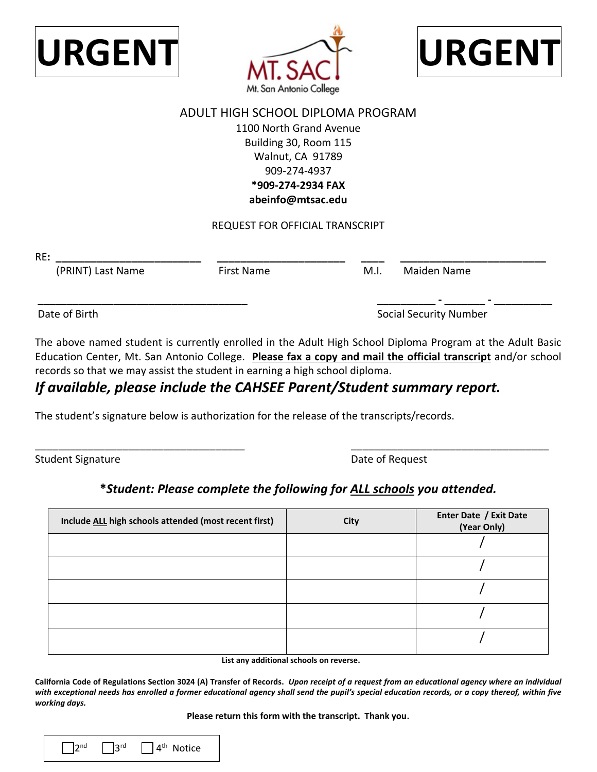





## ADULT HIGH SCHOOL DIPLOMA PROGRAM 1100 North Grand Avenue Building 30, Room 115 Walnut, CA 91789 909-274-4937 **\*909-274-2934 FAX abeinfo@mtsac.edu**

REQUEST FOR OFFICIAL TRANSCRIPT

RE**: \_\_\_\_\_\_\_\_\_\_\_\_\_\_\_\_\_\_\_\_\_\_\_\_\_** 

(PRINT) Last Name First Name M.I. Maiden Name

**\_\_\_\_\_\_\_\_\_\_\_\_\_\_\_\_\_\_\_\_\_\_\_\_\_\_\_\_\_\_\_\_\_\_\_\_** 

Date of Birth

Social Security Number

**\_\_\_\_\_\_\_\_\_\_ - \_\_\_\_\_\_\_ - \_\_\_\_\_\_\_\_\_\_** 

 Education Center, Mt. San Antonio College. **Please fax a copy and mail the official transcript** and/or school records so that we may assist the student in earning a high school diploma. The above named student is currently enrolled in the Adult High School Diploma Program at the Adult Basic

## *If available, please include the CAHSEE Parent/Student summary report.*

The student's signature below is authorization for the release of the transcripts/records.

Student Signature **Date of Request** Student Signature

**\_\_\_\_\_\_\_\_\_\_\_\_\_\_\_\_\_\_\_\_\_\_ \_\_\_\_ \_\_\_\_\_\_\_\_\_\_\_\_\_\_\_\_\_\_\_\_\_\_\_\_\_** 

## **\****Student: Please complete the following for ALL schools you attended.*

\_\_\_\_\_\_\_\_\_\_\_\_\_\_\_\_\_\_\_\_\_\_\_\_\_\_\_\_\_\_\_\_\_\_\_\_ \_\_\_\_\_\_\_\_\_\_\_\_\_\_\_\_\_\_\_\_\_\_\_\_\_\_\_\_\_\_\_\_\_\_

| Include ALL high schools attended (most recent first) | City | Enter Date / Exit Date<br>(Year Only) |
|-------------------------------------------------------|------|---------------------------------------|
|                                                       |      |                                       |
|                                                       |      |                                       |
|                                                       |      |                                       |
|                                                       |      |                                       |
|                                                       |      |                                       |

**List any additional schools on reverse.** 

 **California Code of Regulations Section 3024 (A) Transfer of Records.** *Upon receipt of a request from an educational agency where an individual with exceptional needs has enrolled a former educational agency shall send the pupil's special education records, or a copy thereof, within five working days.* 

 **Please return this form with the transcript. Thank you**.